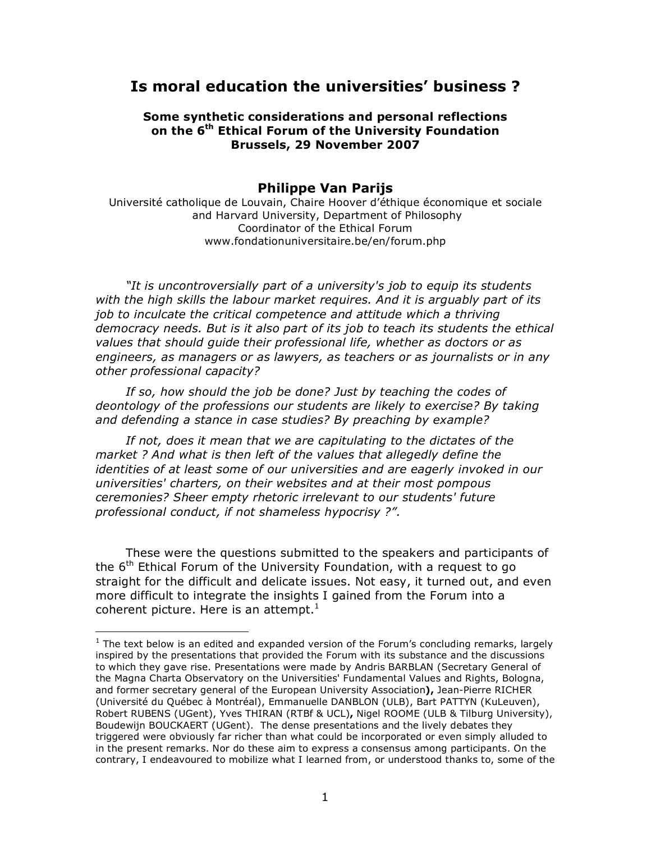# **Is moral education the universities' business ?**

### **Some synthetic considerations and personal reflections on the 6th Ethical Forum of the University Foundation Brussels, 29 November 2007**

# **Philippe Van Parijs**

Université catholique de Louvain, Chaire Hoover d'éthique économique et sociale and Harvard University, Department of Philosophy Coordinator of the Ethical Forum www.fondationuniversitaire.be/en/forum.php

*"It is uncontroversially part of a university's job to equip its students with the high skills the labour market requires. And it is arguably part of its job to inculcate the critical competence and attitude which a thriving democracy needs. But is it also part of its job to teach its students the ethical values that should guide their professional life, whether as doctors or as engineers, as managers or as lawyers, as teachers or as journalists or in any other professional capacity?*

*If so, how should the job be done? Just by teaching the codes of deontology of the professions our students are likely to exercise? By taking and defending a stance in case studies? By preaching by example?*

*If not, does it mean that we are capitulating to the dictates of the market ? And what is then left of the values that allegedly define the identities of at least some of our universities and are eagerly invoked in our universities' charters, on their websites and at their most pompous ceremonies? Sheer empty rhetoric irrelevant to our students' future professional conduct, if not shameless hypocrisy ?".* 

These were the questions submitted to the speakers and participants of the  $6<sup>th</sup>$  Ethical Forum of the University Foundation, with a request to go straight for the difficult and delicate issues. Not easy, it turned out, and even more difficult to integrate the insights I gained from the Forum into a coherent picture. Here is an attempt.<sup>1</sup>

 $1$  The text below is an edited and expanded version of the Forum's concluding remarks, largely inspired by the presentations that provided the Forum with its substance and the discussions to which they gave rise. Presentations were made by Andris BARBLAN (Secretary General of the Magna Charta Observatory on the Universities' Fundamental Values and Rights, Bologna, and former secretary general of the European University Association**),** Jean-Pierre RICHER (Université du Québec à Montréal), Emmanuelle DANBLON (ULB), Bart PATTYN (KuLeuven), Robert RUBENS (UGent), Yves THIRAN (RTBf & UCL)**,** Nigel ROOME (ULB & Tilburg University), Boudewijn BOUCKAERT (UGent). The dense presentations and the lively debates they triggered were obviously far richer than what could be incorporated or even simply alluded to in the present remarks. Nor do these aim to express a consensus among participants. On the contrary, I endeavoured to mobilize what I learned from, or understood thanks to, some of the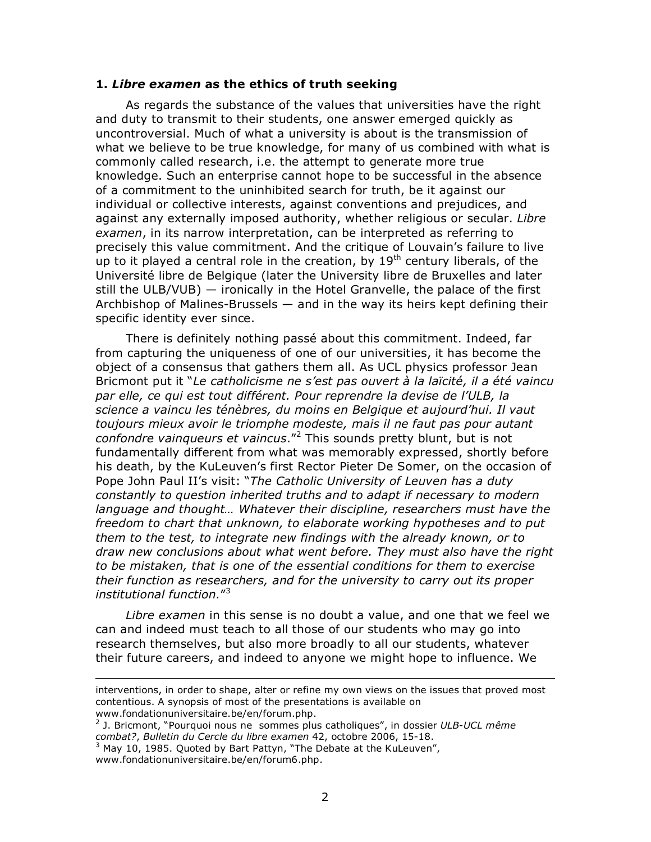### **1.** *Libre examen* **as the ethics of truth seeking**

As regards the substance of the values that universities have the right and duty to transmit to their students, one answer emerged quickly as uncontroversial. Much of what a university is about is the transmission of what we believe to be true knowledge, for many of us combined with what is commonly called research, i.e. the attempt to generate more true knowledge. Such an enterprise cannot hope to be successful in the absence of a commitment to the uninhibited search for truth, be it against our individual or collective interests, against conventions and prejudices, and against any externally imposed authority, whether religious or secular. *Libre examen*, in its narrow interpretation, can be interpreted as referring to precisely this value commitment. And the critique of Louvain's failure to live up to it played a central role in the creation, by  $19<sup>th</sup>$  century liberals, of the Université libre de Belgique (later the University libre de Bruxelles and later still the ULB/VUB) — ironically in the Hotel Granvelle, the palace of the first Archbishop of Malines-Brussels — and in the way its heirs kept defining their specific identity ever since.

There is definitely nothing passé about this commitment. Indeed, far from capturing the uniqueness of one of our universities, it has become the object of a consensus that gathers them all. As UCL physics professor Jean Bricmont put it "*Le catholicisme ne s'est pas ouvert à la laïcité, il a été vaincu par elle, ce qui est tout différent. Pour reprendre la devise de l'ULB, la science a vaincu les ténèbres, du moins en Belgique et aujourd'hui. Il vaut toujours mieux avoir le triomphe modeste, mais il ne faut pas pour autant confondre vainqueurs et vaincus*."<sup>2</sup> This sounds pretty blunt, but is not fundamentally different from what was memorably expressed, shortly before his death, by the KuLeuven's first Rector Pieter De Somer, on the occasion of Pope John Paul II's visit: "*The Catholic University of Leuven has a duty constantly to question inherited truths and to adapt if necessary to modern language and thought… Whatever their discipline, researchers must have the freedom to chart that unknown, to elaborate working hypotheses and to put them to the test, to integrate new findings with the already known, or to draw new conclusions about what went before. They must also have the right to be mistaken, that is one of the essential conditions for them to exercise their function as researchers, and for the university to carry out its proper institutional function.*"<sup>3</sup>

*Libre examen* in this sense is no doubt a value, and one that we feel we can and indeed must teach to all those of our students who may go into research themselves, but also more broadly to all our students, whatever their future careers, and indeed to anyone we might hope to influence. We

2 J. Bricmont, "Pourquoi nous ne sommes plus catholiques", in dossier *ULB-UCL même combat?*, *Bulletin du Cercle du libre examen* 42, octobre 2006, 15-18.  $3$  May 10, 1985. Quoted by Bart Pattyn, "The Debate at the KuLeuven",

-

interventions, in order to shape, alter or refine my own views on the issues that proved most contentious. A synopsis of most of the presentations is available on www.fondationuniversitaire.be/en/forum.php.

www.fondationuniversitaire.be/en/forum6.php.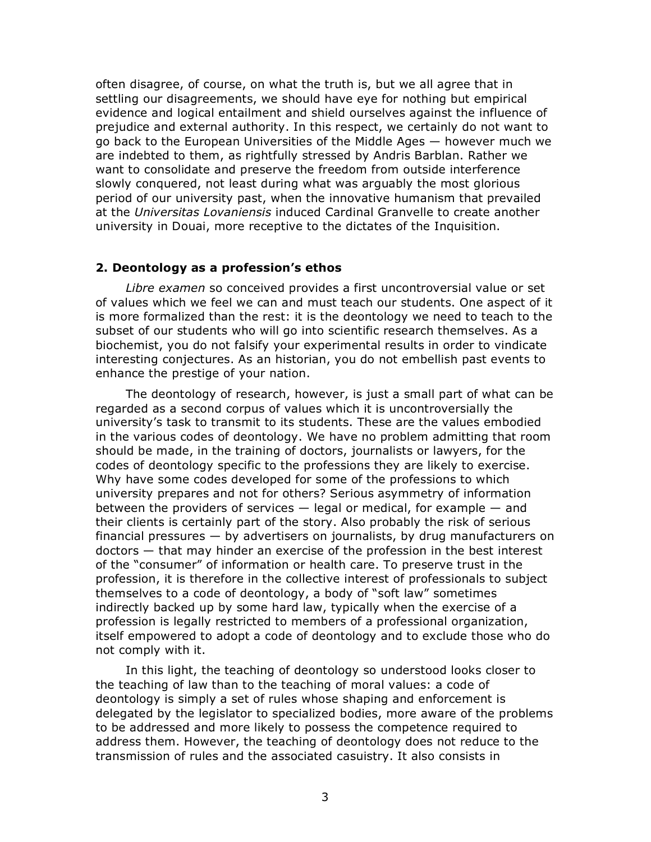often disagree, of course, on what the truth is, but we all agree that in settling our disagreements, we should have eye for nothing but empirical evidence and logical entailment and shield ourselves against the influence of prejudice and external authority. In this respect, we certainly do not want to go back to the European Universities of the Middle Ages — however much we are indebted to them, as rightfully stressed by Andris Barblan. Rather we want to consolidate and preserve the freedom from outside interference slowly conquered, not least during what was arguably the most glorious period of our university past, when the innovative humanism that prevailed at the *Universitas Lovaniensis* induced Cardinal Granvelle to create another university in Douai, more receptive to the dictates of the Inquisition.

# **2. Deontology as a profession's ethos**

*Libre examen* so conceived provides a first uncontroversial value or set of values which we feel we can and must teach our students. One aspect of it is more formalized than the rest: it is the deontology we need to teach to the subset of our students who will go into scientific research themselves. As a biochemist, you do not falsify your experimental results in order to vindicate interesting conjectures. As an historian, you do not embellish past events to enhance the prestige of your nation.

The deontology of research, however, is just a small part of what can be regarded as a second corpus of values which it is uncontroversially the university's task to transmit to its students. These are the values embodied in the various codes of deontology. We have no problem admitting that room should be made, in the training of doctors, journalists or lawyers, for the codes of deontology specific to the professions they are likely to exercise. Why have some codes developed for some of the professions to which university prepares and not for others? Serious asymmetry of information between the providers of services  $-$  legal or medical, for example  $-$  and their clients is certainly part of the story. Also probably the risk of serious financial pressures — by advertisers on journalists, by drug manufacturers on doctors — that may hinder an exercise of the profession in the best interest of the "consumer" of information or health care. To preserve trust in the profession, it is therefore in the collective interest of professionals to subject themselves to a code of deontology, a body of "soft law" sometimes indirectly backed up by some hard law, typically when the exercise of a profession is legally restricted to members of a professional organization, itself empowered to adopt a code of deontology and to exclude those who do not comply with it.

In this light, the teaching of deontology so understood looks closer to the teaching of law than to the teaching of moral values: a code of deontology is simply a set of rules whose shaping and enforcement is delegated by the legislator to specialized bodies, more aware of the problems to be addressed and more likely to possess the competence required to address them. However, the teaching of deontology does not reduce to the transmission of rules and the associated casuistry. It also consists in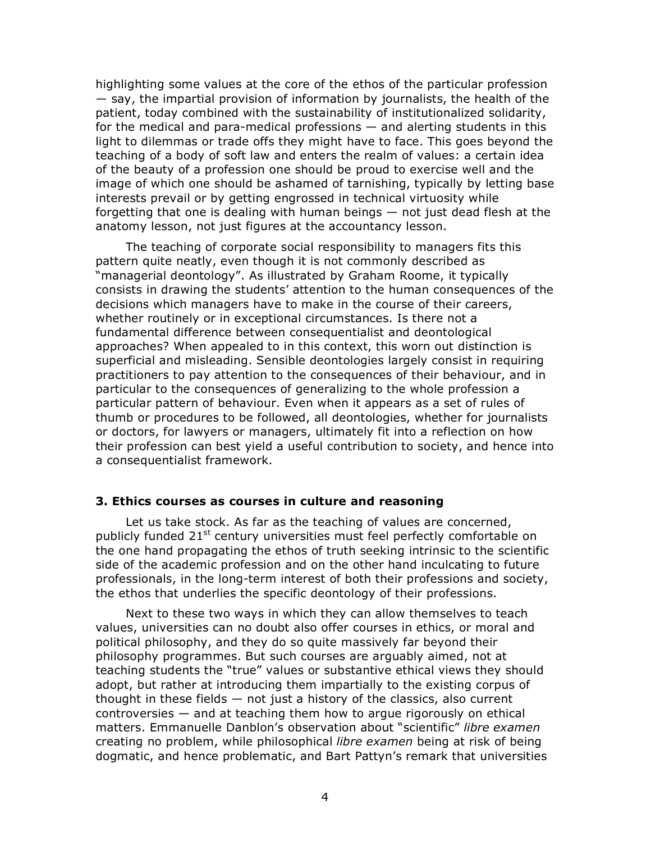highlighting some values at the core of the ethos of the particular profession — say, the impartial provision of information by journalists, the health of the patient, today combined with the sustainability of institutionalized solidarity, for the medical and para-medical professions — and alerting students in this light to dilemmas or trade offs they might have to face. This goes beyond the teaching of a body of soft law and enters the realm of values: a certain idea of the beauty of a profession one should be proud to exercise well and the image of which one should be ashamed of tarnishing, typically by letting base interests prevail or by getting engrossed in technical virtuosity while forgetting that one is dealing with human beings — not just dead flesh at the anatomy lesson, not just figures at the accountancy lesson.

The teaching of corporate social responsibility to managers fits this pattern quite neatly, even though it is not commonly described as "managerial deontology". As illustrated by Graham Roome, it typically consists in drawing the students' attention to the human consequences of the decisions which managers have to make in the course of their careers, whether routinely or in exceptional circumstances. Is there not a fundamental difference between consequentialist and deontological approaches? When appealed to in this context, this worn out distinction is superficial and misleading. Sensible deontologies largely consist in requiring practitioners to pay attention to the consequences of their behaviour, and in particular to the consequences of generalizing to the whole profession a particular pattern of behaviour. Even when it appears as a set of rules of thumb or procedures to be followed, all deontologies, whether for journalists or doctors, for lawyers or managers, ultimately fit into a reflection on how their profession can best yield a useful contribution to society, and hence into a consequentialist framework.

### **3. Ethics courses as courses in culture and reasoning**

Let us take stock. As far as the teaching of values are concerned, publicly funded 21<sup>st</sup> century universities must feel perfectly comfortable on the one hand propagating the ethos of truth seeking intrinsic to the scientific side of the academic profession and on the other hand inculcating to future professionals, in the long-term interest of both their professions and society, the ethos that underlies the specific deontology of their professions.

Next to these two ways in which they can allow themselves to teach values, universities can no doubt also offer courses in ethics, or moral and political philosophy, and they do so quite massively far beyond their philosophy programmes. But such courses are arguably aimed, not at teaching students the "true" values or substantive ethical views they should adopt, but rather at introducing them impartially to the existing corpus of thought in these fields  $-$  not just a history of the classics, also current controversies — and at teaching them how to argue rigorously on ethical matters. Emmanuelle Danblon's observation about "scientific" *libre examen* creating no problem, while philosophical *libre examen* being at risk of being dogmatic, and hence problematic, and Bart Pattyn's remark that universities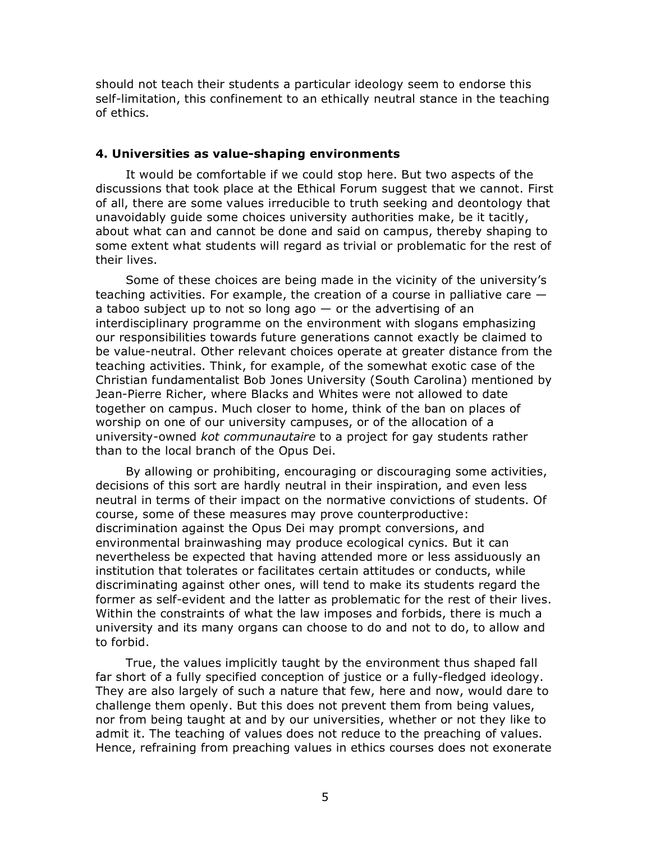should not teach their students a particular ideology seem to endorse this self-limitation, this confinement to an ethically neutral stance in the teaching of ethics.

#### **4. Universities as value-shaping environments**

It would be comfortable if we could stop here. But two aspects of the discussions that took place at the Ethical Forum suggest that we cannot. First of all, there are some values irreducible to truth seeking and deontology that unavoidably guide some choices university authorities make, be it tacitly, about what can and cannot be done and said on campus, thereby shaping to some extent what students will regard as trivial or problematic for the rest of their lives.

Some of these choices are being made in the vicinity of the university's teaching activities. For example, the creation of a course in palliative care a taboo subject up to not so long ago  $-$  or the advertising of an interdisciplinary programme on the environment with slogans emphasizing our responsibilities towards future generations cannot exactly be claimed to be value-neutral. Other relevant choices operate at greater distance from the teaching activities. Think, for example, of the somewhat exotic case of the Christian fundamentalist Bob Jones University (South Carolina) mentioned by Jean-Pierre Richer, where Blacks and Whites were not allowed to date together on campus. Much closer to home, think of the ban on places of worship on one of our university campuses, or of the allocation of a university-owned *kot communautaire* to a project for gay students rather than to the local branch of the Opus Dei.

By allowing or prohibiting, encouraging or discouraging some activities, decisions of this sort are hardly neutral in their inspiration, and even less neutral in terms of their impact on the normative convictions of students. Of course, some of these measures may prove counterproductive: discrimination against the Opus Dei may prompt conversions, and environmental brainwashing may produce ecological cynics. But it can nevertheless be expected that having attended more or less assiduously an institution that tolerates or facilitates certain attitudes or conducts, while discriminating against other ones, will tend to make its students regard the former as self-evident and the latter as problematic for the rest of their lives. Within the constraints of what the law imposes and forbids, there is much a university and its many organs can choose to do and not to do, to allow and to forbid.

True, the values implicitly taught by the environment thus shaped fall far short of a fully specified conception of justice or a fully-fledged ideology. They are also largely of such a nature that few, here and now, would dare to challenge them openly. But this does not prevent them from being values, nor from being taught at and by our universities, whether or not they like to admit it. The teaching of values does not reduce to the preaching of values. Hence, refraining from preaching values in ethics courses does not exonerate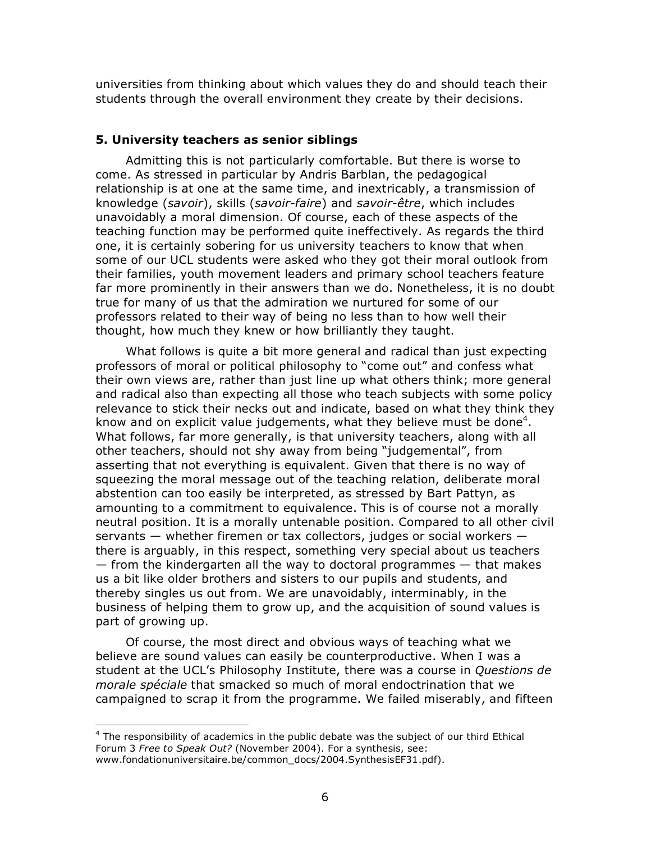universities from thinking about which values they do and should teach their students through the overall environment they create by their decisions.

#### **5. University teachers as senior siblings**

Admitting this is not particularly comfortable. But there is worse to come. As stressed in particular by Andris Barblan, the pedagogical relationship is at one at the same time, and inextricably, a transmission of knowledge (*savoir*), skills (*savoir-faire*) and *savoir-être*, which includes unavoidably a moral dimension. Of course, each of these aspects of the teaching function may be performed quite ineffectively. As regards the third one, it is certainly sobering for us university teachers to know that when some of our UCL students were asked who they got their moral outlook from their families, youth movement leaders and primary school teachers feature far more prominently in their answers than we do. Nonetheless, it is no doubt true for many of us that the admiration we nurtured for some of our professors related to their way of being no less than to how well their thought, how much they knew or how brilliantly they taught.

What follows is quite a bit more general and radical than just expecting professors of moral or political philosophy to "come out" and confess what their own views are, rather than just line up what others think; more general and radical also than expecting all those who teach subjects with some policy relevance to stick their necks out and indicate, based on what they think they know and on explicit value judgements, what they believe must be done<sup>4</sup>. What follows, far more generally, is that university teachers, along with all other teachers, should not shy away from being "judgemental", from asserting that not everything is equivalent. Given that there is no way of squeezing the moral message out of the teaching relation, deliberate moral abstention can too easily be interpreted, as stressed by Bart Pattyn, as amounting to a commitment to equivalence. This is of course not a morally neutral position. It is a morally untenable position. Compared to all other civil servants — whether firemen or tax collectors, judges or social workers there is arguably, in this respect, something very special about us teachers  $-$  from the kindergarten all the way to doctoral programmes  $-$  that makes us a bit like older brothers and sisters to our pupils and students, and thereby singles us out from. We are unavoidably, interminably, in the business of helping them to grow up, and the acquisition of sound values is part of growing up.

Of course, the most direct and obvious ways of teaching what we believe are sound values can easily be counterproductive. When I was a student at the UCL's Philosophy Institute, there was a course in *Questions de morale spéciale* that smacked so much of moral endoctrination that we campaigned to scrap it from the programme. We failed miserably, and fifteen

The responsibility of academics in the public debate was the subject of our third Ethical<br>A The responsibility of academics in the public debate was the subject of our third Ethical Forum 3 *Free to Speak Out?* (November 2004). For a synthesis, see: www.fondationuniversitaire.be/common\_docs/2004.SynthesisEF31.pdf).